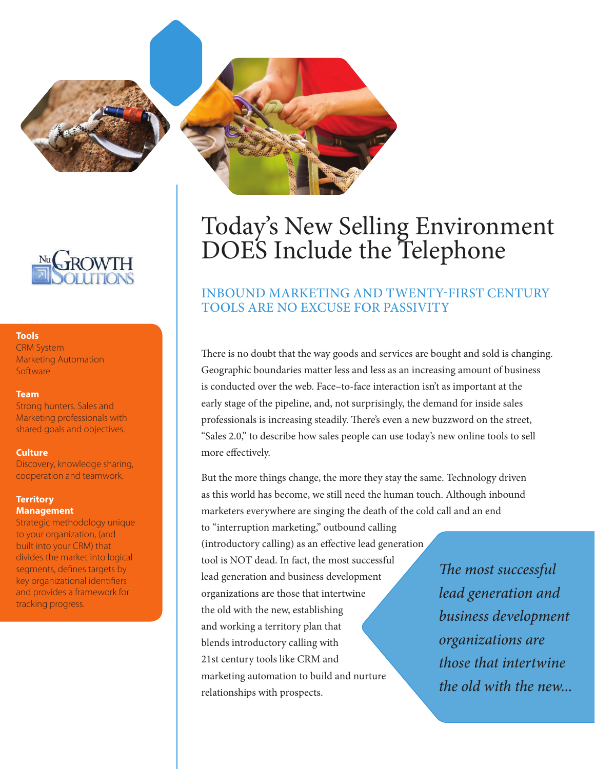



#### **Tools**

CRM System Marketing Automation Software

#### **Team**

Strong hunters. Sales and Marketing professionals with shared goals and objectives.

#### **Culture**

Discovery, knowledge sharing, cooperation and teamwork.

### **Territory Management**

Strategic methodology unique to your organization, (and built into your CRM) that divides the market into logical segments, defines targets by key organizational identifiers and provides a framework for tracking progress.

# Today's New Selling Environment DOES Include the Telephone

# Inbound marketing and twenty-first Century tools are no excuse for passivity

There is no doubt that the way goods and services are bought and sold is changing. Geographic boundaries matter less and less as an increasing amount of business is conducted over the web. Face–to-face interaction isn't as important at the early stage of the pipeline, and, not surprisingly, the demand for inside sales professionals is increasing steadily. There's even a new buzzword on the street, "Sales 2.0," to describe how sales people can use today's new online tools to sell more effectively.

But the more things change, the more they stay the same. Technology driven as this world has become, we still need the human touch. Although inbound marketers everywhere are singing the death of the cold call and an end

to "interruption marketing," outbound calling (introductory calling) as an effective lead generation tool is NOT dead. In fact, the most successful lead generation and business development organizations are those that intertwine the old with the new, establishing and working a territory plan that blends introductory calling with 21st century tools like CRM and marketing automation to build and nurture relationships with prospects.

*The most successful lead generation and business development organizations are those that intertwine the old with the new...*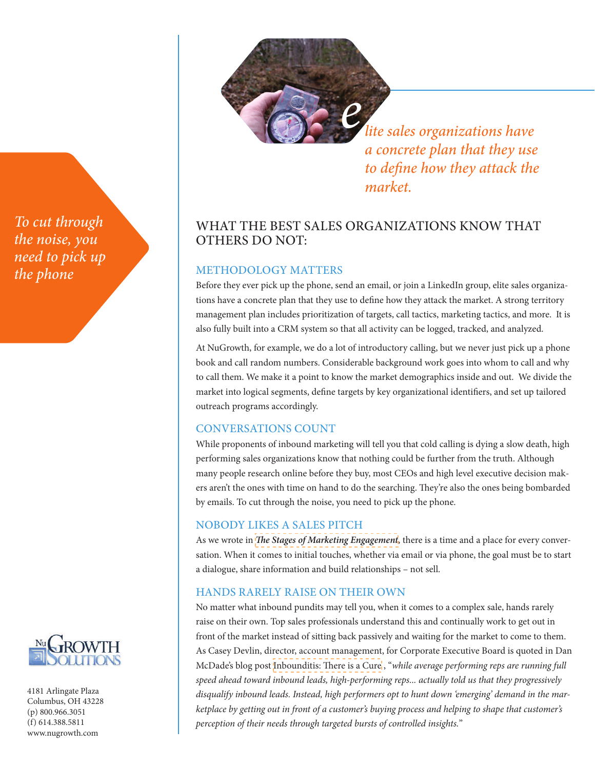

*lite sales organizations have a concrete plan that they use to define how they attack the market.* 

# What the best sales organizations know that OTHERS DO NOT:

# METHODOLOGY MATTERS

Before they ever pick up the phone, send an email, or join a LinkedIn group, elite sales organizations have a concrete plan that they use to define how they attack the market. A strong territory management plan includes prioritization of targets, call tactics, marketing tactics, and more. It is also fully built into a CRM system so that all activity can be logged, tracked, and analyzed.

At NuGrowth, for example, we do a lot of introductory calling, but we never just pick up a phone book and call random numbers. Considerable background work goes into whom to call and why to call them. We make it a point to know the market demographics inside and out. We divide the market into logical segments, define targets by key organizational identifiers, and set up tailored outreach programs accordingly.

## Conversations Count

While proponents of inbound marketing will tell you that cold calling is dying a slow death, high performing sales organizations know that nothing could be further from the truth. Although many people research online before they buy, most CEOs and high level executive decision makers aren't the ones with time on hand to do the searching. They're also the ones being bombarded by emails. To cut through the noise, you need to pick up the phone.

## Nobody Likes a Sales Pitch

As we wrote in *[The Stages of Marketing Engagement](http://www.nugrowth.com/the-stages-of-marketing-engagement/)*, there is a time and a place for every conversation. When it comes to initial touches, whether via email or via phone, the goal must be to start a dialogue, share information and build relationships – not sell.

# Hands Rarely Raise on Their Own

No matter what inbound pundits may tell you, when it comes to a complex sale, hands rarely raise on their own. Top sales professionals understand this and continually work to get out in front of the market instead of sitting back passively and waiting for the market to come to them. As Casey Devlin, director, account management, for Corporate Executive Board is quoted in Dan McDade's blog post [Inbounditis: There is a Cure](http://www.thecmosite.com/author.asp%3Fsection_id%3D2915%26doc_id%3D257731) , "*while average performing reps are running full speed ahead toward inbound leads, high-performing reps... actually told us that they progressively disqualify inbound leads. Instead, high performers opt to hunt down 'emerging' demand in the marketplace by getting out in front of a customer's buying process and helping to shape that customer's perception of their needs through targeted bursts of controlled insights.*"

*To cut through the noise, you need to pick up the phone*



4181 Arlingate Plaza Columbus, OH 43228 (p) 800.966.3051 (f) 614.388.5811 <www.nugrowth.com>